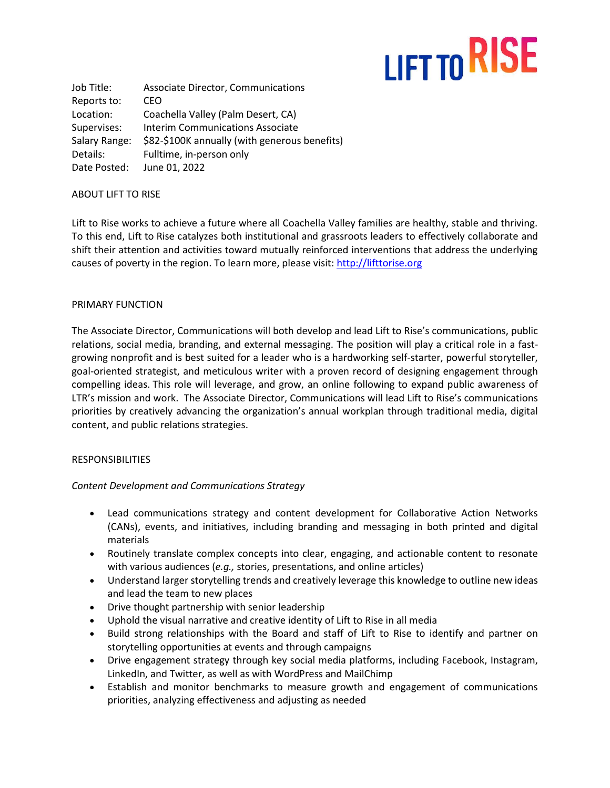# LIFT TO RISE

| Job Title:    | Associate Director, Communications            |
|---------------|-----------------------------------------------|
| Reports to:   | CEO                                           |
| Location:     | Coachella Valley (Palm Desert, CA)            |
| Supervises:   | <b>Interim Communications Associate</b>       |
| Salary Range: | \$82-\$100K annually (with generous benefits) |
| Details:      | Fulltime, in-person only                      |
| Date Posted:  | June 01, 2022                                 |

#### ABOUT LIFT TO RISE

Lift to Rise works to achieve a future where all Coachella Valley families are healthy, stable and thriving. To this end, Lift to Rise catalyzes both institutional and grassroots leaders to effectively collaborate and shift their attention and activities toward mutually reinforced interventions that address the underlying causes of poverty in the region. To learn more, please visit: [http://lifttorise.org](http://lifttorise.org/)

#### PRIMARY FUNCTION

The Associate Director, Communications will both develop and lead Lift to Rise's communications, public relations, social media, branding, and external messaging. The position will play a critical role in a fastgrowing nonprofit and is best suited for a leader who is a hardworking self-starter, powerful storyteller, goal-oriented strategist, and meticulous writer with a proven record of designing engagement through compelling ideas. This role will leverage, and grow, an online following to expand public awareness of LTR's mission and work. The Associate Director, Communications will lead Lift to Rise's communications priorities by creatively advancing the organization's annual workplan through traditional media, digital content, and public relations strategies.

### **RESPONSIBILITIES**

### *Content Development and Communications Strategy*

- Lead communications strategy and content development for Collaborative Action Networks (CANs), events, and initiatives, including branding and messaging in both printed and digital materials
- Routinely translate complex concepts into clear, engaging, and actionable content to resonate with various audiences (*e.g.,* stories, presentations, and online articles)
- Understand larger storytelling trends and creatively leverage this knowledge to outline new ideas and lead the team to new places
- Drive thought partnership with senior leadership
- Uphold the visual narrative and creative identity of Lift to Rise in all media
- Build strong relationships with the Board and staff of Lift to Rise to identify and partner on storytelling opportunities at events and through campaigns
- Drive engagement strategy through key social media platforms, including Facebook, Instagram, LinkedIn, and Twitter, as well as with WordPress and MailChimp
- Establish and monitor benchmarks to measure growth and engagement of communications priorities, analyzing effectiveness and adjusting as needed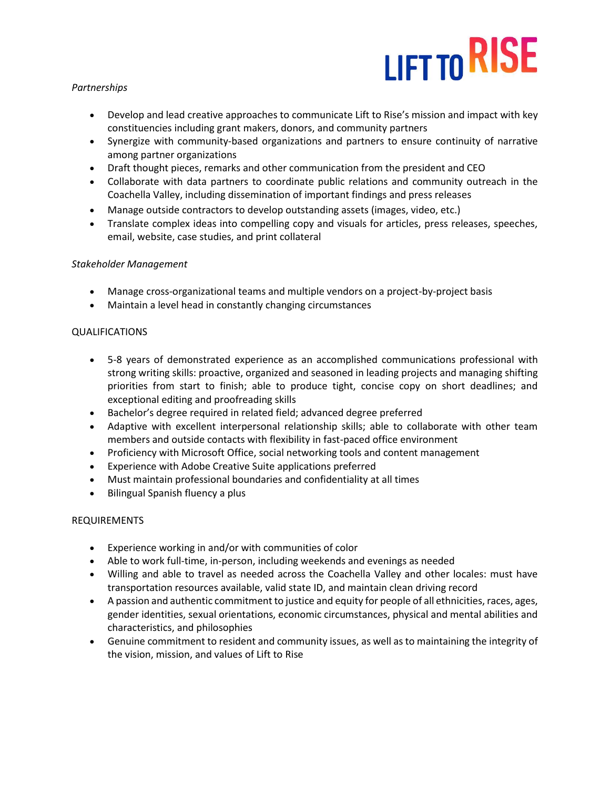# LIFT TO RISE

# *Partnerships*

- Develop and lead creative approaches to communicate Lift to Rise's mission and impact with key constituencies including grant makers, donors, and community partners
- Synergize with community-based organizations and partners to ensure continuity of narrative among partner organizations
- Draft thought pieces, remarks and other communication from the president and CEO
- Collaborate with data partners to coordinate public relations and community outreach in the Coachella Valley, including dissemination of important findings and press releases
- Manage outside contractors to develop outstanding assets (images, video, etc.)
- Translate complex ideas into compelling copy and visuals for articles, press releases, speeches, email, website, case studies, and print collateral

## *Stakeholder Management*

- Manage cross-organizational teams and multiple vendors on a project-by-project basis
- Maintain a level head in constantly changing circumstances

## QUALIFICATIONS

- 5-8 years of demonstrated experience as an accomplished communications professional with strong writing skills: proactive, organized and seasoned in leading projects and managing shifting priorities from start to finish; able to produce tight, concise copy on short deadlines; and exceptional editing and proofreading skills
- Bachelor's degree required in related field; advanced degree preferred
- Adaptive with excellent interpersonal relationship skills; able to collaborate with other team members and outside contacts with flexibility in fast-paced office environment
- Proficiency with Microsoft Office, social networking tools and content management
- Experience with Adobe Creative Suite applications preferred
- Must maintain professional boundaries and confidentiality at all times
- Bilingual Spanish fluency a plus

# REQUIREMENTS

- Experience working in and/or with communities of color
- Able to work full-time, in-person, including weekends and evenings as needed
- Willing and able to travel as needed across the Coachella Valley and other locales: must have transportation resources available, valid state ID, and maintain clean driving record
- A passion and authentic commitment to justice and equity for people of all ethnicities, races, ages, gender identities, sexual orientations, economic circumstances, physical and mental abilities and characteristics, and philosophies
- Genuine commitment to resident and community issues, as well as to maintaining the integrity of the vision, mission, and values of Lift to Rise